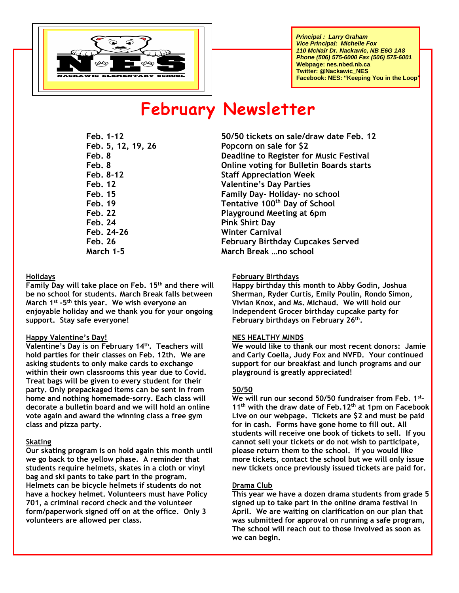

 *Principal : Larry Graham Vice Principal: Michelle Fox 110 McNair Dr. Nackawic, NB E6G 1A8 Phone (506) 575-6000 Fax (506) 575-6001* **Webpage: nes.nbed.nb.ca Twitter: @Nackawic\_NES Facebook: NES: "Keeping You in the Loop"**

# **February Newsletter**

**Feb. 24 Pink Shirt Day Feb. 24-26 Winter Carnival** 

#### **Holidays**

**Family Day will take place on Feb. 15 th and there will be no school for students. March Break falls between March 1 st -5 th this year. We wish everyone an enjoyable holiday and we thank you for your ongoing support. Stay safe everyone!**

#### **Happy Valentine's Day!**

**Valentine's Day is on February 14th. Teachers will hold parties for their classes on Feb. 12th. We are asking students to only make cards to exchange within their own classrooms this year due to Covid. Treat bags will be given to every student for their party. Only prepackaged items can be sent in from home and nothing homemade-sorry. Each class will decorate a bulletin board and we will hold an online vote again and award the winning class a free gym class and pizza party.**

#### **Skating**

**Our skating program is on hold again this month until we go back to the yellow phase. A reminder that students require helmets, skates in a cloth or vinyl bag and ski pants to take part in the program. Helmets can be bicycle helmets if students do not have a hockey helmet. Volunteers must have Policy 701, a criminal record check and the volunteer form/paperwork signed off on at the office. Only 3 volunteers are allowed per class.**

**Feb. 1-12 50/50 tickets on sale/draw date Feb. 12 Feb. 5, 12, 19, 26 Popcorn on sale for \$2 Feb. 8 Deadline to Register for Music Festival Feb. 8 Online voting for Bulletin Boards starts Feb. 8-12 Staff Appreciation Week Feb. 12 Valentine's Day Parties Feb. 15 Family Day- Holiday- no school Feb. 19 Tentative 100th Day of School Feb. 22 Playground Meeting at 6pm Feb. 26 February Birthday Cupcakes Served March 1-5 March Break …no school**

#### **February Birthdays**

**Happy birthday this month to Abby Godin, Joshua Sherman, Ryder Curtis, Emily Poulin, Rondo Simon, Vivian Knox, and Ms. Michaud. We will hold our Independent Grocer birthday cupcake party for February birthdays on February 26 th .** 

#### **NES HEALTHY MINDS**

**We would like to thank our most recent donors: Jamie and Carly Coella, Judy Fox and NVFD. Your continued support for our breakfast and lunch programs and our playground is greatly appreciated!**

#### **50/50**

**We will run our second 50/50 fundraiser from Feb. 1st - 11th with the draw date of Feb.12th at 1pm on Facebook Live on our webpage. Tickets are \$2 and must be paid for in cash. Forms have gone home to fill out. All students will receive one book of tickets to sell. If you cannot sell your tickets or do not wish to participate, please return them to the school. If you would like more tickets, contact the school but we will only issue new tickets once previously issued tickets are paid for.** 

#### **Drama Club**

**This year we have a dozen drama students from grade 5 signed up to take part in the online drama festival in April. We are waiting on clarification on our plan that was submitted for approval on running a safe program, The school will reach out to those involved as soon as we can begin.**